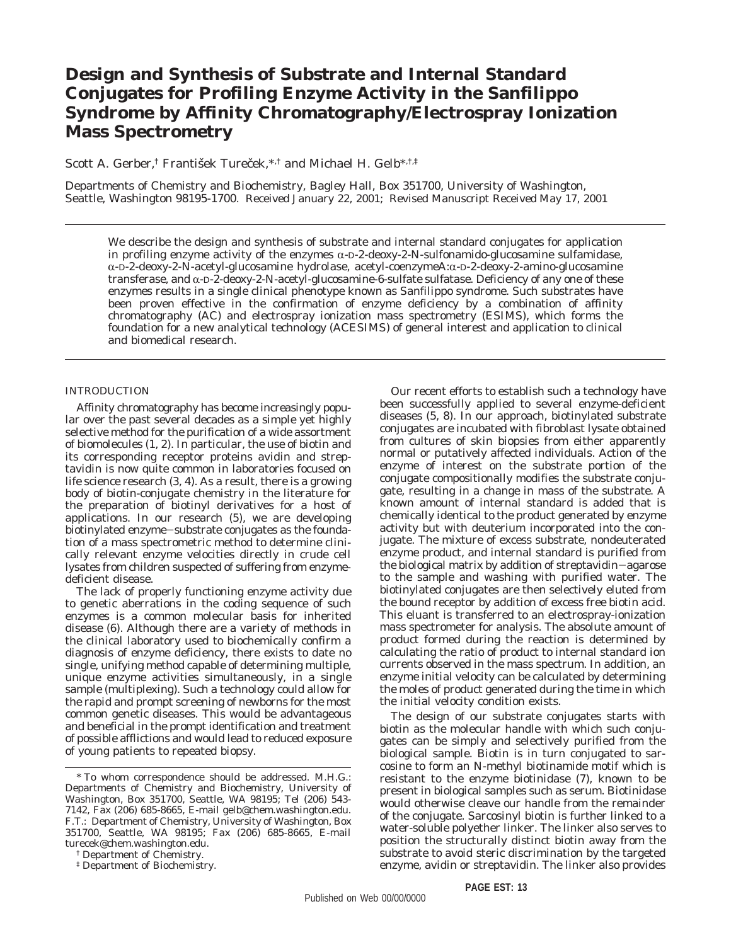# **Design and Synthesis of Substrate and Internal Standard Conjugates for Profiling Enzyme Activity in the Sanfilippo Syndrome by Affinity Chromatography/Electrospray Ionization Mass Spectrometry**

Scott A. Gerber,<sup>†</sup> František Tureček,\*,<sup>†</sup> and Michael H. Gelb<sup>\*,†,‡</sup>

Departments of Chemistry and Biochemistry, Bagley Hall, Box 351700, University of Washington, Seattle, Washington 98195-1700. Received January 22, 2001; Revised Manuscript Received May 17, 2001

We describe the design and synthesis of substrate and internal standard conjugates for application in profiling enzyme activity of the enzymes  $\alpha$ -D-2-deoxy-2-*N*-sulfonamido-glucosamine sulfamidase, α-D-2-deoxy-2-*N*-acetyl-glucosamine hydrolase, acetyl-coenzymeA:α-D-2-deoxy-2-amino-glucosamine transferase, and α-D-2-deoxy-2-*N*-acetyl-glucosamine-6-sulfate sulfatase. Deficiency of any one of these enzymes results in a single clinical phenotype known as Sanfilippo syndrome. Such substrates have been proven effective in the confirmation of enzyme deficiency by a combination of affinity chromatography (AC) and electrospray ionization mass spectrometry (ESIMS), which forms the foundation for a new analytical technology (ACESIMS) of general interest and application to clinical and biomedical research.

## INTRODUCTION

Affinity chromatography has become increasingly popular over the past several decades as a simple yet highly selective method for the purification of a wide assortment of biomolecules (*1, 2*). In particular, the use of biotin and its corresponding receptor proteins avidin and streptavidin is now quite common in laboratories focused on life science research (*3, 4*). As a result, there is a growing body of biotin-conjugate chemistry in the literature for the preparation of biotinyl derivatives for a host of applications. In our research (*5*), we are developing biotinylated enzyme-substrate conjugates as the foundation of a mass spectrometric method to determine clinically relevant enzyme velocities directly in crude cell lysates from children suspected of suffering from enzymedeficient disease.

The lack of properly functioning enzyme activity due to genetic aberrations in the coding sequence of such enzymes is a common molecular basis for inherited disease (*6*). Although there are a variety of methods in the clinical laboratory used to biochemically confirm a diagnosis of enzyme deficiency, there exists to date no single, unifying method capable of determining multiple, unique enzyme activities simultaneously, in a single sample (multiplexing). Such a technology could allow for the rapid and prompt screening of newborns for the most common genetic diseases. This would be advantageous and beneficial in the prompt identification and treatment of possible afflictions and would lead to reduced exposure of young patients to repeated biopsy.

† Department of Chemistry.

‡ Department of Biochemistry.

Our recent efforts to establish such a technology have been successfully applied to several enzyme-deficient diseases (*5*, *8*). In our approach, biotinylated substrate conjugates are incubated with fibroblast lysate obtained from cultures of skin biopsies from either apparently normal or putatively affected individuals. Action of the enzyme of interest on the substrate portion of the conjugate compositionally modifies the substrate conjugate, resulting in a change in mass of the substrate. A known amount of internal standard is added that is chemically identical to the product generated by enzyme activity but with deuterium incorporated into the conjugate. The mixture of excess substrate, nondeuterated enzyme product, and internal standard is purified from the biological matrix by addition of streptavidin-agarose to the sample and washing with purified water. The biotinylated conjugates are then selectively eluted from the bound receptor by addition of excess free biotin acid. This eluant is transferred to an electrospray-ionization mass spectrometer for analysis. The absolute amount of product formed during the reaction is determined by calculating the ratio of product to internal standard ion currents observed in the mass spectrum. In addition, an enzyme initial velocity can be calculated by determining the moles of product generated during the time in which the initial velocity condition exists.

The design of our substrate conjugates starts with biotin as the molecular handle with which such conjugates can be simply and selectively purified from the biological sample. Biotin is in turn conjugated to sarcosine to form an *N*-methyl biotinamide motif which is resistant to the enzyme biotinidase (*7*), known to be present in biological samples such as serum. Biotinidase would otherwise cleave our handle from the remainder of the conjugate. Sarcosinyl biotin is further linked to a water-soluble polyether linker. The linker also serves to position the structurally distinct biotin away from the substrate to avoid steric discrimination by the targeted enzyme, avidin or streptavidin. The linker also provides

<sup>\*</sup> To whom correspondence should be addressed. M.H.G.: Departments of Chemistry and Biochemistry, University of Washington, Box 351700, Seattle, WA 98195; Tel (206) 543- 7142, Fax (206) 685-8665, E-mail gelb@chem.washington.edu. F.T.: Department of Chemistry, University of Washington, Box 351700, Seattle, WA 98195; Fax (206) 685-8665, E-mail turecek@chem.washington.edu.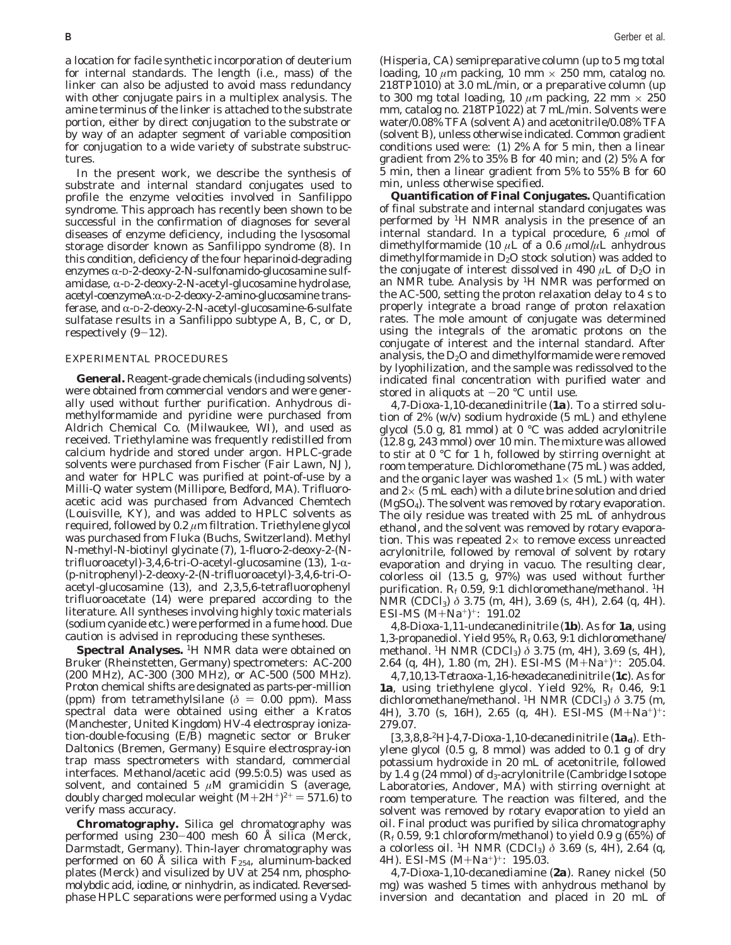a location for facile synthetic incorporation of deuterium for internal standards. The length (i.e., mass) of the linker can also be adjusted to avoid mass redundancy with other conjugate pairs in a multiplex analysis. The amine terminus of the linker is attached to the substrate portion, either by direct conjugation to the substrate or by way of an adapter segment of variable composition for conjugation to a wide variety of substrate substructures.

In the present work, we describe the synthesis of substrate and internal standard conjugates used to profile the enzyme velocities involved in Sanfilippo syndrome. This approach has recently been shown to be successful in the confirmation of diagnoses for several diseases of enzyme deficiency, including the lysosomal storage disorder known as Sanfilippo syndrome (*8*). In this condition, deficiency of the four heparinoid-degrading enzymes  $\alpha$ -D-2-deoxy-2-*N*-sulfonamido-glucosamine sulfamidase,  $\alpha$ -D-2-deoxy-2-*N*-acetyl-glucosamine hydrolase, acetyl-coenzymeA:α-D-2-deoxy-2-amino-glucosamine transferase, and R-D-2-deoxy-2-*N*-acetyl-glucosamine-6-sulfate sulfatase results in a Sanfilippo subtype A, B, C, or D, respectively  $(9-12)$ .

### EXPERIMENTAL PROCEDURES

**General.** Reagent-grade chemicals (including solvents) were obtained from commercial vendors and were generally used without further purification. Anhydrous dimethylformamide and pyridine were purchased from Aldrich Chemical Co. (Milwaukee, WI), and used as received. Triethylamine was frequently redistilled from calcium hydride and stored under argon. HPLC-grade solvents were purchased from Fischer (Fair Lawn, NJ), and water for HPLC was purified at point-of-use by a Milli-Q water system (Millipore, Bedford, MA). Trifluoroacetic acid was purchased from Advanced Chemtech (Louisville, KY), and was added to HPLC solvents as required, followed by 0.2 *µ*m filtration. Triethylene glycol was purchased from Fluka (Buchs, Switzerland). Methyl *N*-methyl-*N*-biotinyl glycinate (*7*), 1-fluoro-2-deoxy-2-(*N*trifluoroacetyl)-3,4,6-tri-*O*-acetyl-glucosamine (13), 1-α-(*p*-nitrophenyl)-2-deoxy-2-(*N*-trifluoroacetyl)-3,4,6-tri-*O*acetyl-glucosamine (*13*), and 2,3,5,6-tetrafluorophenyl trifluoroacetate (*14*) were prepared according to the literature. All syntheses involving highly toxic materials (sodium cyanide etc.) were performed in a fume hood. Due caution is advised in reproducing these syntheses.

**Spectral Analyses.** <sup>1</sup>H NMR data were obtained on Bruker (Rheinstetten, Germany) spectrometers: AC-200 (200 MHz), AC-300 (300 MHz), or AC-500 (500 MHz). Proton chemical shifts are designated as parts-per-million (ppm) from tetramethylsilane ( $\delta = 0.00$  ppm). Mass spectral data were obtained using either a Kratos (Manchester, United Kingdom) HV-4 electrospray ionization-double-focusing (E/B) magnetic sector or Bruker Daltonics (Bremen, Germany) Esquire electrospray-ion trap mass spectrometers with standard, commercial interfaces. Methanol/acetic acid (99.5:0.5) was used as solvent, and contained 5  $\mu$ M gramicidin S (average, doubly charged molecular weight  $(M+2H^+)^{2+} = 571.6$  to verify mass accuracy.

**Chromatography.** Silica gel chromatography was performed using 230-400 mesh 60 Å silica (Merck, Darmstadt, Germany). Thin-layer chromatography was performed on 60 Å silica with  $F_{254}$ , aluminum-backed plates (Merck) and visulized by UV at 254 nm, phosphomolybdic acid, iodine, or ninhydrin, as indicated. Reversedphase HPLC separations were performed using a Vydac

(Hisperia, CA) semipreparative column (up to 5 mg total loading, 10  $\mu$ m packing, 10 mm  $\times$  250 mm, catalog no. 218TP1010) at 3.0 mL/min, or a preparative column (up to 300 mg total loading, 10  $\mu$ m packing, 22 mm  $\times$  250 mm, catalog no. 218TP1022) at 7 mL/min. Solvents were water/0.08% TFA (solvent A) and acetonitrile/0.08% TFA (solvent B), unless otherwise indicated. Common gradient conditions used were: (1) 2% A for 5 min, then a linear gradient from 2% to 35% B for 40 min; and (2) 5% A for 5 min, then a linear gradient from 5% to 55% B for 60 min, unless otherwise specified.

**Quantification of Final Conjugates.** Quantification of final substrate and internal standard conjugates was performed by 1H NMR analysis in the presence of an internal standard. In a typical procedure, 6 *µ*mol of dimethylformamide (10  $\mu$ L of a 0.6  $\mu$ mol/ $\mu$ L anhydrous dimethylformamide in  $D_2O$  stock solution) was added to the conjugate of interest dissolved in 490  $\mu$ L of D<sub>2</sub>O in an NMR tube. Analysis by  $H$  NMR was performed on the AC-500, setting the proton relaxation delay to 4 s to properly integrate a broad range of proton relaxation rates. The mole amount of conjugate was determined using the integrals of the aromatic protons on the conjugate of interest and the internal standard. After analysis, the  $D_2O$  and dimethylformamide were removed by lyophilization, and the sample was redissolved to the indicated final concentration with purified water and stored in aliquots at  $-20$  °C until use.

*4,7-Dioxa-1,10-decanedinitrile (1a).* To a stirred solution of 2% (w/v) sodium hydroxide (5 mL) and ethylene glycol (5.0 g, 81 mmol) at 0 °C was added acrylonitrile (12.8 g, 243 mmol) over 10 min. The mixture was allowed to stir at 0 °C for 1 h, followed by stirring overnight at room temperature. Dichloromethane (75 mL) was added, and the organic layer was washed  $1\times$  (5 mL) with water and  $2\times$  (5 mL each) with a dilute brine solution and dried (MgSO4). The solvent was removed by rotary evaporation. The oily residue was treated with 25 mL of anhydrous ethanol, and the solvent was removed by rotary evaporation. This was repeated  $2 \times$  to remove excess unreacted acrylonitrile, followed by removal of solvent by rotary evaporation and drying in vacuo. The resulting clear, colorless oil  $(13.5 \text{ g}, 97\%)$  was used without further purification.  $R_f$  0.59, 9:1 dichloromethane/methanol. <sup>1</sup>H NMR (CDCl<sub>3</sub>) δ 3.75 (m, 4H), 3.69 (s, 4H), 2.64 (q, 4H). ESI-MS  $(M+Na^+)^+$ : 191.02

*4,8-Dioxa-1,11-undecanedinitrile (1b).* As for **1a**, using 1,3-propanediol. Yield 95%, *Rf* 0.63, 9:1 dichloromethane/ methanol. 1H NMR (CDCl3) *δ* 3.75 (m, 4H), 3.69 (s, 4H), 2.64 (q, 4H), 1.80 (m, 2H). ESI-MS (M+Na+)+: 205.04.

*4,7,10,13-Tetraoxa-1,16-hexadecanedinitrile (1c).* As for **1a**, using triethylene glycol. Yield 92%, *Rf* 0.46, 9:1 dichloromethane/methanol. 1H NMR (CDCl3) *δ* 3.75 (m, 4H), 3.70 (s, 16H), 2.65 (q, 4H). ESI-MS  $(M+Na^+)^+$ : 279.07.

*[3,3,8,8-<sup>2</sup>H]-4,7-Dioxa-1,10-decanedinitrile (* $1a_d$ *)*. Ethylene glycol (0.5 g, 8 mmol) was added to 0.1 g of dry potassium hydroxide in 20 mL of acetonitrile, followed by 1.4 g (24 mmol) of *d*3-acrylonitrile (Cambridge Isotope Laboratories, Andover, MA) with stirring overnight at room temperature. The reaction was filtered, and the solvent was removed by rotary evaporation to yield an oil. Final product was purified by silica chromatography (*Rf* 0.59, 9:1 chloroform/methanol) to yield 0.9 g (65%) of a colorless oil. 1H NMR (CDCl3) *δ* 3.69 (s, 4H), 2.64 (q, 4H). ESI-MS (M+Na+)+: 195.03.

*4,7-Dioxa-1,10-decanediamine (2a).* Raney nickel (50 mg) was washed 5 times with anhydrous methanol by inversion and decantation and placed in 20 mL of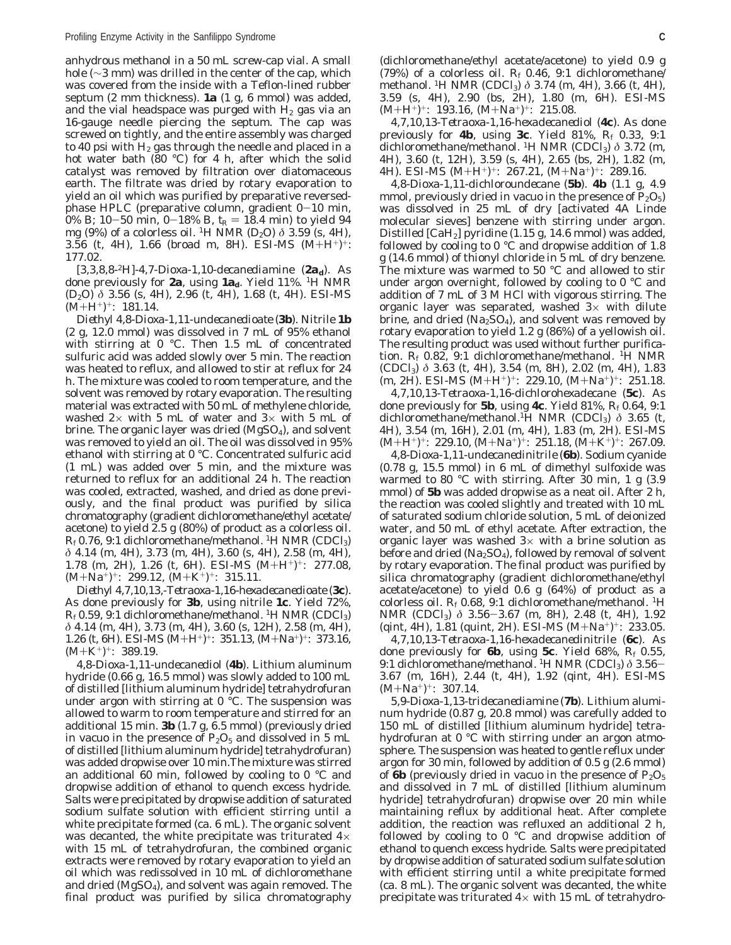anhydrous methanol in a 50 mL screw-cap vial. A small hole (∼3 mm) was drilled in the center of the cap, which was covered from the inside with a Teflon-lined rubber septum (2 mm thickness). **1a** (1 g, 6 mmol) was added, and the vial headspace was purged with  $H_2$  gas via an 16-gauge needle piercing the septum. The cap was screwed on tightly, and the entire assembly was charged to 40 psi with  $H_2$  gas through the needle and placed in a hot water bath (80 °C) for 4 h, after which the solid catalyst was removed by filtration over diatomaceous earth. The filtrate was dried by rotary evaporation to yield an oil which was purified by preparative reversedphase HPLC (preparative column, gradient 0-10 min, 0% B; 10-50 min, 0-18% B,  $t_R = 18.4$  min) to yield 94 mg (9%) of a colorless oil. <sup>1</sup>H NMR (D<sub>2</sub>O)  $\delta$  3.59 (s, 4H), 3.56 (t, 4H), 1.66 (broad m, 8H). ESI-MS  $(M+H^+)^+$ : 177.02.

*[3,3,8,8<sup>2</sup>H]-4,7-Dioxa-1,10-decanediamine (2a<sub>d</sub>).* As done previously for **2a**, using **1a**<sub>d</sub>. Yield 11%. <sup>1</sup>H NMR (D2O) *δ* 3.56 (s, 4H), 2.96 (t, 4H), 1.68 (t, 4H). ESI-MS  $(M+H^+)^+$ : 181.14.

*Diethyl 4,8-Dioxa-1,11-undecanedioate (3b)*. Nitrile **1b** (2 g, 12.0 mmol) was dissolved in 7 mL of 95% ethanol with stirring at 0 °C. Then 1.5 mL of concentrated sulfuric acid was added slowly over 5 min. The reaction was heated to reflux, and allowed to stir at reflux for 24 h. The mixture was cooled to room temperature, and the solvent was removed by rotary evaporation. The resulting material was extracted with 50 mL of methylene chloride, washed  $2 \times$  with 5 mL of water and  $3 \times$  with 5 mL of brine. The organic layer was dried (MgSO<sub>4</sub>), and solvent was removed to yield an oil. The oil was dissolved in 95% ethanol with stirring at 0 °C. Concentrated sulfuric acid (1 mL) was added over 5 min, and the mixture was returned to reflux for an additional 24 h. The reaction was cooled, extracted, washed, and dried as done previously, and the final product was purified by silica chromatography (gradient dichloromethane/ethyl acetate/ acetone) to yield 2.5 g (80%) of product as a colorless oil.  $R_f$ 0.76, 9:1 dichloromethane/methanol. <sup>1</sup>H NMR (CDCl<sub>3</sub>) *δ* 4.14 (m, 4H), 3.73 (m, 4H), 3.60 (s, 4H), 2.58 (m, 4H), 1.78 (m, 2H), 1.26 (t, 6H). ESI-MS  $(M+H^+)^+$ : 277.08,  $(M+Na^+): 299.12, (M+K^+)^+: 315.11.$ 

*Diethyl 4,7,10,13,-Tetraoxa-1,16-hexadecanedioate (3c)*. As done previously for **3b**, using nitrile **1c**. Yield 72%,  $R_f$ 0.59, 9:1 dichloromethane/methanol. <sup>1</sup>H NMR (CDCl<sub>3</sub>) *δ* 4.14 (m, 4H), 3.73 (m, 4H), 3.60 (s, 12H), 2.58 (m, 4H), 1.26 (t, 6H). ESI-MS (M+H<sup>+</sup>)<sup>+</sup>: 351.13, (M+Na<sup>+</sup>)<sup>+</sup>: 373.16,<br>(M+K<sup>+</sup>)<sup>+</sup>· 389.19  $(M+K^+)^+$ : 389.19.

*4,8-Dioxa-1,11-undecanediol (4b).* Lithium aluminum hydride (0.66 g, 16.5 mmol) was slowly added to 100 mL of distilled [lithium aluminum hydride] tetrahydrofuran under argon with stirring at 0 °C. The suspension was allowed to warm to room temperature and stirred for an additional 15 min. **3b** (1.7 g, 6.5 mmol) (previously dried in vacuo in the presence of  $P_2O_5$  and dissolved in 5 mL of distilled [lithium aluminum hydride] tetrahydrofuran) was added dropwise over 10 min.The mixture was stirred an additional 60 min, followed by cooling to 0 °C and dropwise addition of ethanol to quench excess hydride. Salts were precipitated by dropwise addition of saturated sodium sulfate solution with efficient stirring until a white precipitate formed (ca. 6 mL). The organic solvent was decanted, the white precipitate was triturated  $4\times$ with 15 mL of tetrahydrofuran, the combined organic extracts were removed by rotary evaporation to yield an oil which was redissolved in 10 mL of dichloromethane and dried ( $MgSO<sub>4</sub>$ ), and solvent was again removed. The final product was purified by silica chromatography

(dichloromethane/ethyl acetate/acetone) to yield 0.9 g (79%) of a colorless oil.  $R_f$  0.46, 9:1 dichloromethane/ methanol. 1H NMR (CDCl3) *δ* 3.74 (m, 4H), 3.66 (t, 4H), 3.59 (s, 4H), 2.90 (bs, 2H), 1.80 (m, 6H). ESI-MS  $(M+H^+)^+$ : 193.16,  $(M+Na^+)^+$ : 215.08.

*4,7,10,13-Tetraoxa-1,16-hexadecanediol (4c).* As done previously for **4b**, using **3c**. Yield 81%, *Rf* 0.33, 9:1 dichloromethane/methanol. 1H NMR (CDCl3) *δ* 3.72 (m, 4H), 3.60 (t, 12H), 3.59 (s, 4H), 2.65 (bs, 2H), 1.82 (m, 4H). ESI-MS  $(M+H^+)^+$ : 267.21,  $(M+Na^+)^+$ : 289.16.

*4,8-Dioxa-1,11-dichloroundecane (5b).* **4b** (1.1 g, 4.9 mmol, previously dried in vacuo in the presence of  $P_2O_5$ ) was dissolved in 25 mL of dry [activated 4A Linde molecular sieves] benzene with stirring under argon. Distilled [CaH2] pyridine (1.15 g, 14.6 mmol) was added, followed by cooling to 0 °C and dropwise addition of 1.8 g (14.6 mmol) of thionyl chloride in 5 mL of dry benzene. The mixture was warmed to 50 °C and allowed to stir under argon overnight, followed by cooling to 0 °C and addition of 7 mL of 3 M HCl with vigorous stirring. The organic layer was separated, washed  $3\times$  with dilute brine, and dried  $(Na<sub>2</sub>SO<sub>4</sub>)$ , and solvent was removed by rotary evaporation to yield 1.2 g (86%) of a yellowish oil. The resulting product was used without further purification.  $R_f$  0.82, 9:1 dichloromethane/methanol. <sup>1</sup>H NMR (CDCl3) *δ* 3.63 (t, 4H), 3.54 (m, 8H), 2.02 (m, 4H), 1.83  $(m, 2H)$ . ESI-MS  $(M+H^+)^+$ : 229.10,  $(M+Na^+)^+$ : 251.18.

*4,7,10,13-Tetraoxa-1,16-dichlorohexadecane (5c)*. As done previously for **5b**, using **4c**. Yield 81%, *Rf* 0.64, 9:1 dichloromethane/methanol.1H NMR (CDCl3) *δ* 3.65 (t, 4H), 3.54 (m, 16H), 2.01 (m, 4H), 1.83 (m, 2H). ESI-MS  $(M+H^+)^+$ : 229.10,  $(M+Na^+)^+$ : 251.18,  $(M+K^+)^+$ : 267.09.

*4,8-Dioxa-1,11-undecanedinitrile (6b)*. Sodium cyanide (0.78 g, 15.5 mmol) in 6 mL of dimethyl sulfoxide was warmed to 80 °C with stirring. After 30 min, 1 g (3.9 mmol) of **5b** was added dropwise as a neat oil. After 2 h, the reaction was cooled slightly and treated with 10 mL of saturated sodium chloride solution, 5 mL of deionized water, and 50 mL of ethyl acetate. After extraction, the organic layer was washed  $3\times$  with a brine solution as before and dried ( $Na<sub>2</sub>SO<sub>4</sub>$ ), followed by removal of solvent by rotary evaporation. The final product was purified by silica chromatography (gradient dichloromethane/ethyl acetate/acetone) to yield 0.6 g (64%) of product as a colorless oil. *Rf* 0.68, 9:1 dichloromethane/methanol. 1H NMR (CDCl<sub>3</sub>) δ 3.56-3.67 (m, 8H), 2.48 (t, 4H), 1.92 (qint, 4H), 1.81 (quint, 2H). ESI-MS  $(M+Na^{+})^{+}$ : 233.05.

*4,7,10,13-Tetraoxa-1,16-hexadecanedinitrile (6c).* As done previously for **6b**, using **5c**. Yield 68%, *Rf* 0.55, 9:1 dichloromethane/methanol. 1H NMR (CDCl3) *<sup>δ</sup>* 3.56- 3.67 (m, 16H), 2.44 (t, 4H), 1.92 (qint, 4H). ESI-MS  $(M+Na^+)^+$ : 307.14.

*5,9-Dioxa-1,13-tridecanediamine (7b).* Lithium aluminum hydride (0.87 g, 20.8 mmol) was carefully added to 150 mL of distilled [lithium aluminum hydride] tetrahydrofuran at 0 °C with stirring under an argon atmosphere. The suspension was heated to gentle reflux under argon for 30 min, followed by addition of 0.5 g (2.6 mmol) of **6b** (previously dried in vacuo in the presence of  $P_2O_5$ and dissolved in 7 mL of distilled [lithium aluminum hydride] tetrahydrofuran) dropwise over 20 min while maintaining reflux by additional heat. After complete addition, the reaction was refluxed an additional 2 h, followed by cooling to 0 °C and dropwise addition of ethanol to quench excess hydride. Salts were precipitated by dropwise addition of saturated sodium sulfate solution with efficient stirring until a white precipitate formed (ca. 8 mL). The organic solvent was decanted, the white precipitate was triturated  $4\times$  with 15 mL of tetrahydro-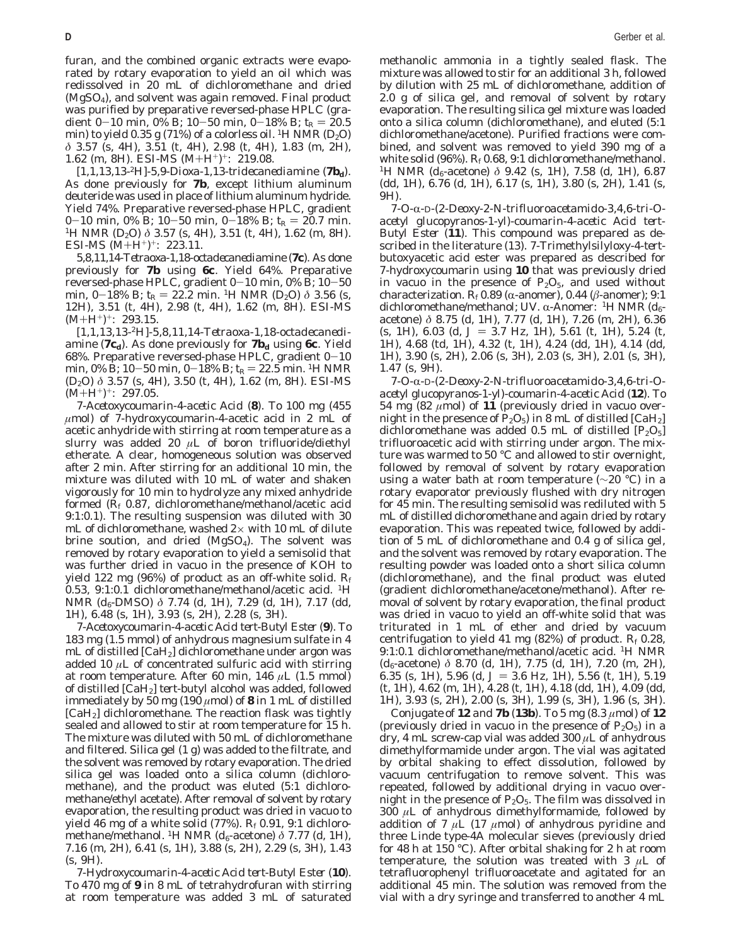furan, and the combined organic extracts were evaporated by rotary evaporation to yield an oil which was redissolved in 20 mL of dichloromethane and dried (MgSO4), and solvent was again removed. Final product was purified by preparative reversed-phase HPLC (gradient 0-10 min, 0% B; 10-50 min, 0-18% B;  $t_R = 20.5$ min) to yield 0.35 g (71%) of a colorless oil. <sup>1</sup>H NMR (D<sub>2</sub>O) *δ* 3.57 (s, 4H), 3.51 (t, 4H), 2.98 (t, 4H), 1.83 (m, 2H), 1.62 (m, 8H). ESI-MS  $(M+H^+)^+$ : 219.08.

*[1,1,13,13-2H]-5,9-Dioxa-1,13-tridecanediamine (7bd).* As done previously for **7b**, except lithium aluminum deuteride was used in place of lithium aluminum hydride. Yield 74%. Preparative reversed-phase HPLC, gradient  $0-10$  min,  $0\%$  B;  $10-50$  min,  $0-18\%$  B;  $t_R = 20.7$  min. <sup>1</sup>H NMR (D<sub>2</sub>O) *δ* 3.57 (s, 4H), 3.51 (t, 4H), 1.62 (m, 8H). ESI-MS  $(M+H^+)^+$ : 223.11.

*5,8,11,14-Tetraoxa-1,18-octadecanediamine (7c).* As done previously for **7b** using **6c**. Yield 64%. Preparative reversed-phase HPLC, gradient  $0-10$  min,  $0\%$  B;  $10-50$ min,  $0-18\%$  B;  $t_R = 22.2$  min. <sup>1</sup>H NMR (D<sub>2</sub>O)  $\delta$  3.56 (s, 12H), 3.51 (t, 4H), 2.98 (t, 4H), 1.62 (m, 8H). ESI-MS  $(M+H^+)^+$ : 293.15.

*[1,1,13,13-2H]-5,8,11,14-Tetraoxa-1,18-octadecanediamine (* $7c_d$ *)*. As done previously for  $7b_d$  using 6c. Yield 68%. Preparative reversed-phase HPLC, gradient  $0-10$ min, 0% B; 10-50 min, 0-18% B;  $t_R = 22.5$  min. <sup>1</sup>H NMR (D2O) *δ* 3.57 (s, 4H), 3.50 (t, 4H), 1.62 (m, 8H). ESI-MS  $(M+H^+)^+$ : 297.05.

*7-Acetoxycoumarin-4-acetic Acid (8).* To 100 mg (455 *µ*mol) of 7-hydroxycoumarin-4-acetic acid in 2 mL of acetic anhydride with stirring at room temperature as a slurry was added 20  $\mu$ L of boron trifluoride/diethyl etherate. A clear, homogeneous solution was observed after 2 min. After stirring for an additional 10 min, the mixture was diluted with 10 mL of water and shaken vigorously for 10 min to hydrolyze any mixed anhydride formed (*Rf* 0.87, dichloromethane/methanol/acetic acid 9:1:0.1). The resulting suspension was diluted with 30 mL of dichloromethane, washed  $2\times$  with 10 mL of dilute brine soution, and dried  $(MgSO<sub>4</sub>)$ . The solvent was removed by rotary evaporation to yield a semisolid that was further dried in vacuo in the presence of KOH to yield 122 mg (96%) of product as an off-white solid. *Rf* 0.53, 9:1:0.1 dichloromethane/methanol/acetic acid. 1H NMR ( $d_6$ -DMSO)  $\delta$  7.74 (d, 1H), 7.29 (d, 1H), 7.17 (dd, 1H), 6.48 (s, 1H), 3.93 (s, 2H), 2.28 (s, 3H).

*7-Acetoxycoumarin-4-acetic Acid tert*-*Butyl Ester (9).* To 183 mg (1.5 mmol) of anhydrous magnesium sulfate in 4 mL of distilled  $\text{[CaH}_2\text{]}$  dichloromethane under argon was added 10 *µ*L of concentrated sulfuric acid with stirring at room temperature. After 60 min, 146 *µ*L (1.5 mmol) of distilled [CaH2] *tert*-butyl alcohol was added, followed immediately by 50 mg (190  $\mu$ mol) of **8** in 1 mL of distilled [CaH2] dichloromethane. The reaction flask was tightly sealed and allowed to stir at room temperature for 15 h. The mixture was diluted with 50 mL of dichloromethane and filtered. Silica gel (1 g) was added to the filtrate, and the solvent was removed by rotary evaporation. The dried silica gel was loaded onto a silica column (dichloromethane), and the product was eluted (5:1 dichloromethane/ethyl acetate). After removal of solvent by rotary evaporation, the resulting product was dried in vacuo to yield 46 mg of a white solid (77%). *Rf* 0.91, 9:1 dichloromethane/methanol. <sup>1</sup>H NMR ( $d_6$ -acetone) δ 7.77 (d, 1H), 7.16 (m, 2H), 6.41 (s, 1H), 3.88 (s, 2H), 2.29 (s, 3H), 1.43 (s, 9H).

*7-Hydroxycoumarin-4-acetic Acid tert*-*Butyl Ester (10)*. To 470 mg of **9** in 8 mL of tetrahydrofuran with stirring at room temperature was added 3 mL of saturated methanolic ammonia in a tightly sealed flask. The mixture was allowed to stir for an additional 3 h, followed by dilution with 25 mL of dichloromethane, addition of 2.0 g of silica gel, and removal of solvent by rotary evaporation. The resulting silica gel mixture was loaded onto a silica column (dichloromethane), and eluted (5:1 dichloromethane/acetone). Purified fractions were combined, and solvent was removed to yield 390 mg of a white solid (96%). *Rf* 0.68, 9:1 dichloromethane/methanol. <sup>1</sup>H NMR (*d*<sub>6</sub>-acetone) *δ* 9.42 (s, 1H), 7.58 (d, 1H), 6.87 (dd, 1H), 6.76 (d, 1H), 6.17 (s, 1H), 3.80 (s, 2H), 1.41 (s, 9H).

*7-O-*R*-*D*-(2-Deoxy-2-N-trifluoroacetamido-3,4,6-tri-Oacetyl glucopyranos-1-yl)-coumarin-4-acetic Acid tert*-*Butyl Ester (11).* This compound was prepared as described in the literature (*13*). 7-Trimethylsilyloxy-4-*tert*butoxyacetic acid ester was prepared as described for 7-hydroxycoumarin using **10** that was previously dried in vacuo in the presence of  $P_2O_5$ , and used without characterization.  $R_f$ 0.89 ( $\alpha$ -anomer), 0.44 ( $\beta$ -anomer); 9:1 dichloromethane/methanol; UV. α-Anomer: <sup>1</sup>H NMR (*d*<sub>6</sub>acetone) *δ* 8.75 (d, 1H), 7.77 (d, 1H), 7.26 (m, 2H), 6.36 (s, 1H), 6.03 (d,  $J = 3.7$  Hz, 1H), 5.61 (t, 1H), 5.24 (t, 1H), 4.68 (td, 1H), 4.32 (t, 1H), 4.24 (dd, 1H), 4.14 (dd, 1H), 3.90 (s, 2H), 2.06 (s, 3H), 2.03 (s, 3H), 2.01 (s, 3H), 1.47 (s, 9H).

*7-O-*R*-*D*-(2-Deoxy-2-N-trifluoroacetamido-3,4,6-tri-Oacetyl glucopyranos-1-yl)-coumarin-4-acetic Acid (12).* To 54 mg  $(82 \mu \text{mol})$  of  $11$  (previously dried in vacuo overnight in the presence of  $P_2O_5$ ) in 8 mL of distilled [CaH<sub>2</sub>] dichloromethane was added 0.5 mL of distilled  $[P_2O_5]$ trifluoroacetic acid with stirring under argon. The mixture was warmed to 50 °C and allowed to stir overnight, followed by removal of solvent by rotary evaporation using a water bath at room temperature (∼20 °C) in a rotary evaporator previously flushed with dry nitrogen for 45 min. The resulting semisolid was rediluted with 5 mL of distilled dichoromethane and again dried by rotary evaporation. This was repeated twice, followed by addition of 5 mL of dichloromethane and 0.4 g of silica gel, and the solvent was removed by rotary evaporation. The resulting powder was loaded onto a short silica column (dichloromethane), and the final product was eluted (gradient dichloromethane/acetone/methanol). After removal of solvent by rotary evaporation, the final product was dried in vacuo to yield an off-white solid that was triturated in 1 mL of ether and dried by vacuum centrifugation to yield 41 mg (82%) of product. *Rf* 0.28, 9:1:0.1 dichloromethane/methanol/acetic acid. 1H NMR (*d*6-acetone) *δ* 8.70 (d, 1H), 7.75 (d, 1H), 7.20 (m, 2H), 6.35 (s, 1H), 5.96 (d,  $J = 3.6$  Hz, 1H), 5.56 (t, 1H), 5.19 (t, 1H), 4.62 (m, 1H), 4.28 (t, 1H), 4.18 (dd, 1H), 4.09 (dd, 1H), 3.93 (s, 2H), 2.00 (s, 3H), 1.99 (s, 3H), 1.96 (s, 3H).

*Conjugate of 12 and 7b (13b).* To 5 mg (8.3 *µ*mol) of **12** (previously dried in vacuo in the presence of  $P_2O_5$ ) in a dry, 4 mL screw-cap vial was added 300 *µ*L of anhydrous dimethylformamide under argon. The vial was agitated by orbital shaking to effect dissolution, followed by vacuum centrifugation to remove solvent. This was repeated, followed by additional drying in vacuo overnight in the presence of  $P_2O_5$ . The film was dissolved in 300 *µ*L of anhydrous dimethylformamide, followed by addition of 7  $\mu$ L (17  $\mu$ mol) of anhydrous pyridine and three Linde type-4A molecular sieves (previously dried for 48 h at 150 °C). After orbital shaking for 2 h at room temperature, the solution was treated with 3  $\mu$ L of tetrafluorophenyl trifluoroacetate and agitated for an additional 45 min. The solution was removed from the vial with a dry syringe and transferred to another 4 mL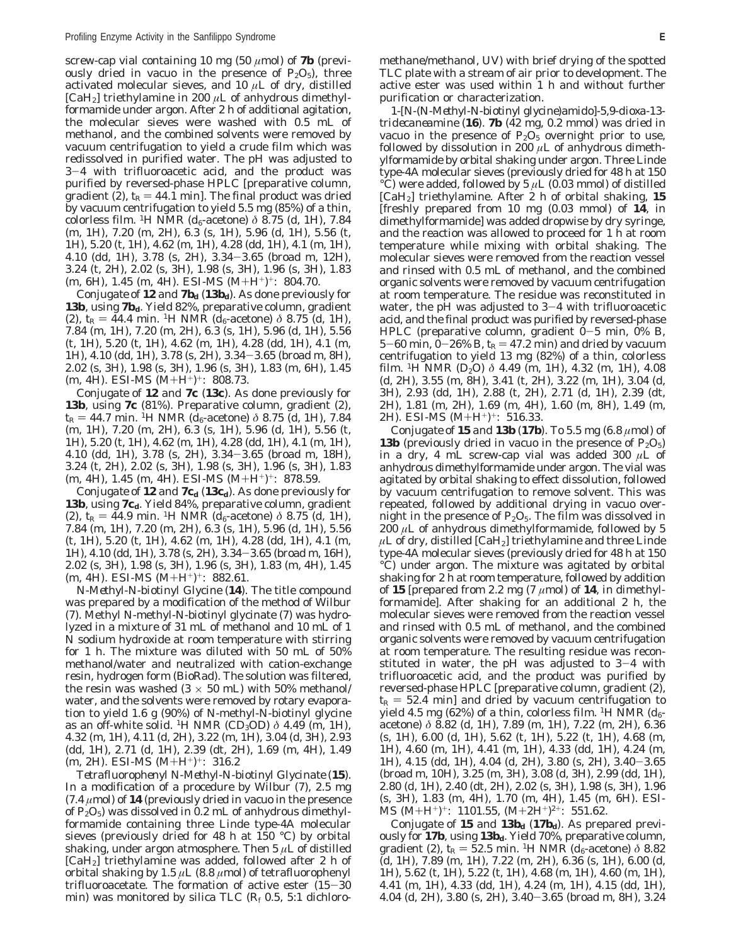screw-cap vial containing 10 mg  $(50 \mu \text{mol})$  of **7b** (previously dried in vacuo in the presence of  $P_2O_5$ ), three activated molecular sieves, and 10 *µ*L of dry, distilled [CaH<sub>2</sub>] triethylamine in 200  $\mu$ L of anhydrous dimethylformamide under argon. After 2 h of additional agitation, the molecular sieves were washed with 0.5 mL of methanol, and the combined solvents were removed by vacuum centrifugation to yield a crude film which was redissolved in purified water. The pH was adjusted to <sup>3</sup>-4 with trifluoroacetic acid, and the product was purified by reversed-phase HPLC [preparative column, gradient (2),  $t_R = 44.1$  min]. The final product was dried by vacuum centrifugation to yield 5.5 mg (85%) of a thin, colorless film. <sup>1</sup>H NMR ( $d_6$ -acetone)  $\delta$  8.75 (d, 1H), 7.84 (m, 1H), 7.20 (m, 2H), 6.3 (s, 1H), 5.96 (d, 1H), 5.56 (t, 1H), 5.20 (t, 1H), 4.62 (m, 1H), 4.28 (dd, 1H), 4.1 (m, 1H), 4.10 (dd, 1H), 3.78 (s, 2H), 3.34-3.65 (broad m, 12H), 3.24 (t, 2H), 2.02 (s, 3H), 1.98 (s, 3H), 1.96 (s, 3H), 1.83  $(m, 6H)$ , 1.45  $(m, 4H)$ . ESI-MS  $(M+H^+)^+$ : 804.70.

*Conjugate of* 12 *and*  $7b_d$  (13b<sub>d</sub>). As done previously for **13b**, using **7b***d*. Yield 82%, preparative column, gradient (2),  $t_R = 44.4$  min. <sup>1</sup>H NMR ( $d_6$ -acetone)  $\delta$  8.75 (d, 1H), 7.84 (m, 1H), 7.20 (m, 2H), 6.3 (s, 1H), 5.96 (d, 1H), 5.56 (t, 1H), 5.20 (t, 1H), 4.62 (m, 1H), 4.28 (dd, 1H), 4.1 (m, 1H), 4.10 (dd, 1H), 3.78 (s, 2H), 3.34-3.65 (broad m, 8H), 2.02 (s, 3H), 1.98 (s, 3H), 1.96 (s, 3H), 1.83 (m, 6H), 1.45  $(m, 4H)$ . ESI-MS  $(M+H^+)^+$ : 808.73.

*Conjugate of 12 and 7c (13c).* As done previously for **13b**, using **7c** (81%). Preparative column, gradient (2),  $t_{\rm R}$  = 44.7 min. <sup>1</sup>H NMR ( $d_6$ -acetone)  $\delta$  8.75 (d, 1H), 7.84 (m, 1H), 7.20 (m, 2H), 6.3 (s, 1H), 5.96 (d, 1H), 5.56 (t, 1H), 5.20 (t, 1H), 4.62 (m, 1H), 4.28 (dd, 1H), 4.1 (m, 1H), 4.10 (dd, 1H), 3.78 (s, 2H), 3.34-3.65 (broad m, 18H), 3.24 (t, 2H), 2.02 (s, 3H), 1.98 (s, 3H), 1.96 (s, 3H), 1.83 (m, 4H), 1.45 (m, 4H). ESI-MS (M+H<sup>+</sup>)<sup>+</sup>: 878.59.

*Conjugate of* 12 *and* 7c<sub>d</sub> (13c<sub>d</sub>). As done previously for **13b**, using **7c***d*. Yield 84%, preparative column, gradient (2),  $t_R = 44.9$  min. <sup>1</sup>H NMR ( $d_6$ -acetone)  $\delta$  8.75 (d, 1H), 7.84 (m, 1H), 7.20 (m, 2H), 6.3 (s, 1H), 5.96 (d, 1H), 5.56 (t, 1H), 5.20 (t, 1H), 4.62 (m, 1H), 4.28 (dd, 1H), 4.1 (m, 1H), 4.10 (dd, 1H), 3.78 (s, 2H), 3.34-3.65 (broad m, 16H), 2.02 (s, 3H), 1.98 (s, 3H), 1.96 (s, 3H), 1.83 (m, 4H), 1.45 (m, 4H). ESI-MS (M+H<sup>+</sup>)<sup>+</sup>: 882.61.

*N-Methyl-N-biotinyl Glycine (14).* The title compound was prepared by a modification of the method of Wilbur (*7*)*.* Methyl *N*-methyl-*N*-biotinyl glycinate (*7*) was hydrolyzed in a mixture of 31 mL of methanol and 10 mL of 1 N sodium hydroxide at room temperature with stirring for 1 h. The mixture was diluted with 50 mL of 50% methanol/water and neutralized with cation-exchange resin, hydrogen form (BioRad). The solution was filtered, the resin was washed  $(3 \times 50 \text{ mL})$  with 50% methanol/ water, and the solvents were removed by rotary evaporation to yield 1.6 g (90%) of *N*-methyl-*N*-biotinyl glycine as an off-white solid. 1H NMR (CD3OD) *δ* 4.49 (m, 1H), 4.32 (m, 1H), 4.11 (d, 2H), 3.22 (m, 1H), 3.04 (d, 3H), 2.93 (dd, 1H), 2.71 (d, 1H), 2.39 (dt, 2H), 1.69 (m, 4H), 1.49  $(m, 2H)$ . ESI-MS  $(M+H^+)^+$ : 316.2

*Tetrafluorophenyl N-Methyl-N-biotinyl Glycinate (15)*. In a modification of a procedure by Wilbur (*7*), 2.5 mg (7.4 *µ*mol) of **14** (previously dried in vacuo in the presence of  $P_2O_5$ ) was dissolved in 0.2 mL of anhydrous dimethylformamide containing three Linde type-4A molecular sieves (previously dried for 48 h at 150 °C) by orbital shaking, under argon atmosphere. Then 5 *µ*L of distilled [CaH2] triethylamine was added, followed after 2 h of orbital shaking by 1.5 *µ*L (8.8 *µ*mol) of tetrafluorophenyl trifluoroacetate. The formation of active ester (15-<sup>30</sup> min) was monitored by silica TLC (*Rf* 0.5, 5:1 dichloromethane/methanol, UV) with brief drying of the spotted TLC plate with a stream of air prior to development. The active ester was used within 1 h and without further purification or characterization.

*1-[N-(N-Methyl-N-biotinyl glycine)amido]-5,9-dioxa-13 tridecaneamine (16).* **7b** (42 mg, 0.2 mmol) was dried in vacuo in the presence of  $P_2O_5$  overnight prior to use, followed by dissolution in 200 *µ*L of anhydrous dimethylformamide by orbital shaking under argon. Three Linde type-4A molecular sieves (previously dried for 48 h at 150 °C) were added, followed by 5  $\mu$ L (0.03 mmol) of distilled [CaH2] triethylamine. After 2 h of orbital shaking, **15** [freshly prepared from 10 mg (0.03 mmol) of **14**, in dimethylformamide] was added dropwise by dry syringe, and the reaction was allowed to proceed for 1 h at room temperature while mixing with orbital shaking. The molecular sieves were removed from the reaction vessel and rinsed with 0.5 mL of methanol, and the combined organic solvents were removed by vacuum centrifugation at room temperature. The residue was reconstituted in water, the pH was adjusted to  $3-4$  with trifluoroacetic acid, and the final product was purified by reversed-phase HPLC (preparative column, gradient 0-5 min, 0% B, 5-60 min,  $0-26\%$  B,  $t_R = 47.2$  min) and dried by vacuum centrifugation to yield 13 mg (82%) of a thin, colorless film. <sup>1</sup>H NMR (D<sub>2</sub>O)  $\delta$  4.49 (m, 1H), 4.32 (m, 1H), 4.08 (d, 2H), 3.55 (m, 8H), 3.41 (t, 2H), 3.22 (m, 1H), 3.04 (d, 3H), 2.93 (dd, 1H), 2.88 (t, 2H), 2.71 (d, 1H), 2.39 (dt, 2H), 1.81 (m, 2H), 1.69 (m, 4H), 1.60 (m, 8H), 1.49 (m, 2H). ESI-MS (M+H+)+: 516.33.

*Conjugate of* 15 *and* 13b  $(17b)$ . To 5.5 mg  $(6.8 \mu mol)$  of **13b** (previously dried in vacuo in the presence of  $P_2O_5$ ) in a dry, 4 mL screw-cap vial was added 300 *µ*L of anhydrous dimethylformamide under argon. The vial was agitated by orbital shaking to effect dissolution, followed by vacuum centrifugation to remove solvent. This was repeated, followed by additional drying in vacuo overnight in the presence of  $P_2O_5$ . The film was dissolved in  $200 \mu L$  of anhydrous dimethylformamide, followed by 5  $\mu$ L of dry, distilled  $\text{[CaH}_2\text{]}$  triethylamine and three Linde type-4A molecular sieves (previously dried for 48 h at 150 °C) under argon. The mixture was agitated by orbital shaking for 2 h at room temperature, followed by addition of **15** [prepared from 2.2 mg (7  $\mu$ mol) of **14**, in dimethylformamide]. After shaking for an additional 2 h, the molecular sieves were removed from the reaction vessel and rinsed with 0.5 mL of methanol, and the combined organic solvents were removed by vacuum centrifugation at room temperature. The resulting residue was reconstituted in water, the pH was adjusted to  $3-4$  with trifluoroacetic acid, and the product was purified by reversed-phase HPLC [preparative column, gradient (2),  $t_{\rm R}$  = 52.4 min] and dried by vacuum centrifugation to yield 4.5 mg (62%) of a thin, colorless film. <sup>1</sup>H NMR ( $d_6$ acetone) *δ* 8.82 (d, 1H), 7.89 (m, 1H), 7.22 (m, 2H), 6.36 (s, 1H), 6.00 (d, 1H), 5.62 (t, 1H), 5.22 (t, 1H), 4.68 (m, 1H), 4.60 (m, 1H), 4.41 (m, 1H), 4.33 (dd, 1H), 4.24 (m, 1H), 4.15 (dd, 1H), 4.04 (d, 2H), 3.80 (s, 2H), 3.40-3.65 (broad m, 10H), 3.25 (m, 3H), 3.08 (d, 3H), 2.99 (dd, 1H), 2.80 (d, 1H), 2.40 (dt, 2H), 2.02 (s, 3H), 1.98 (s, 3H), 1.96 (s, 3H), 1.83 (m, 4H), 1.70 (m, 4H), 1.45 (m, 6H). ESI-MS (M+H+)+: 1101.55, (M+2H+)2+: 551.62.

*Conjugate of* 15 *and*  $13b_d$  (17 $b_d$ ). As prepared previously for **17b**, using **13b**<sub>d</sub>. Yield 70%, preparative column, gradient (2),  $t_{\rm R}$  = 52.5 min. <sup>1</sup>H NMR ( $d_{\rm 6}$ -acetone)  $\delta$  8.82  $(d, 1H)$ , 7.89 (m, 1H), 7.22 (m, 2H), 6.36 (s, 1H), 6.00 (d, 1H), 5.62 (t, 1H), 5.22 (t, 1H), 4.68 (m, 1H), 4.60 (m, 1H), 4.41 (m, 1H), 4.33 (dd, 1H), 4.24 (m, 1H), 4.15 (dd, 1H), 4.04 (d, 2H), 3.80 (s, 2H), 3.40-3.65 (broad m, 8H), 3.24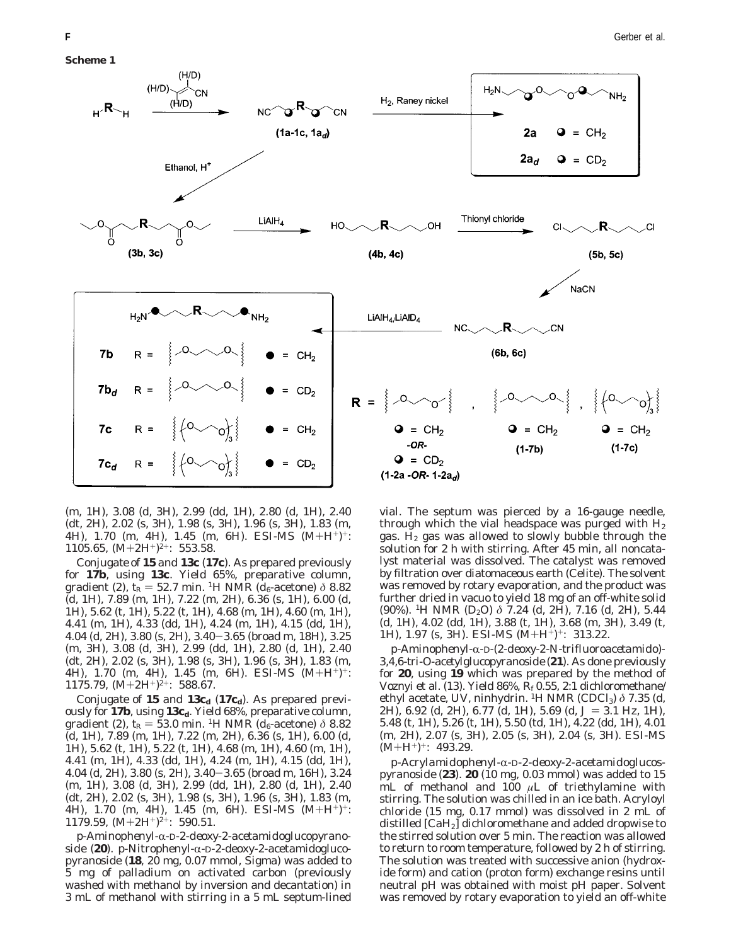

(m, 1H), 3.08 (d, 3H), 2.99 (dd, 1H), 2.80 (d, 1H), 2.40 (dt, 2H), 2.02 (s, 3H), 1.98 (s, 3H), 1.96 (s, 3H), 1.83 (m, 4H), 1.70 (m, 4H), 1.45 (m, 6H). ESI-MS (M+H<sup>+</sup>)<sup>+</sup>: 1105.65,  $(M+2H^+)^{2+}$ : 553.58.

*Conjugate of 15 and 13c (17c).* As prepared previously for **17b**, using **13c**. Yield 65%, preparative column, gradient (2),  $t_R = 52.7$  min. <sup>1</sup>H NMR ( $d_6$ -acetone)  $\delta$  8.82 (d, 1H), 7.89 (m, 1H), 7.22 (m, 2H), 6.36 (s, 1H), 6.00 (d, 1H), 5.62 (t, 1H), 5.22 (t, 1H), 4.68 (m, 1H), 4.60 (m, 1H), 4.41 (m, 1H), 4.33 (dd, 1H), 4.24 (m, 1H), 4.15 (dd, 1H), 4.04 (d, 2H), 3.80 (s, 2H), 3.40-3.65 (broad m, 18H), 3.25 (m, 3H), 3.08 (d, 3H), 2.99 (dd, 1H), 2.80 (d, 1H), 2.40 (dt, 2H), 2.02 (s, 3H), 1.98 (s, 3H), 1.96 (s, 3H), 1.83 (m, 4H), 1.70 (m, 4H), 1.45 (m, 6H). ESI-MS (M+H+)+: 1175.79,  $(M+2H^+)^{2+}$ : 588.67.

*Conjugate of* 15 *and* 13c<sub>d</sub> (17c<sub>d</sub>). As prepared previously for 17b, using 13c<sub>d</sub>. Yield 68%, preparative column, gradient (2),  $t_R = 53.0$  min. <sup>1</sup>H NMR ( $d_6$ -acetone)  $\delta$  8.82 (d, 1H), 7.89 (m, 1H), 7.22 (m, 2H), 6.36 (s, 1H), 6.00 (d, 1H), 5.62 (t, 1H), 5.22 (t, 1H), 4.68 (m, 1H), 4.60 (m, 1H), 4.41 (m, 1H), 4.33 (dd, 1H), 4.24 (m, 1H), 4.15 (dd, 1H), 4.04 (d, 2H), 3.80 (s, 2H), 3.40-3.65 (broad m, 16H), 3.24 (m, 1H), 3.08 (d, 3H), 2.99 (dd, 1H), 2.80 (d, 1H), 2.40 (dt, 2H), 2.02 (s, 3H), 1.98 (s, 3H), 1.96 (s, 3H), 1.83 (m, 4H), 1.70 (m, 4H), 1.45 (m, 6H). ESI-MS  $(M+H^+)^+$ : 1179.59,  $(M+2H^+)^{2+}$ : 590.51.

*p-Aminophenyl-*R*-*D*-2-deoxy-2-acetamidoglucopyranoside (20). p*-Nitrophenyl-α-D-2-deoxy-2-acetamidoglucopyranoside (**18**, 20 mg, 0.07 mmol, Sigma) was added to 5 mg of palladium on activated carbon (previously washed with methanol by inversion and decantation) in 3 mL of methanol with stirring in a 5 mL septum-lined vial. The septum was pierced by a 16-gauge needle, through which the vial headspace was purged with  $H_2$ gas.  $H_2$  gas was allowed to slowly bubble through the solution for 2 h with stirring. After 45 min, all noncatalyst material was dissolved. The catalyst was removed by filtration over diatomaceous earth (Celite). The solvent was removed by rotary evaporation, and the product was further dried in vacuo to yield 18 mg of an off-white solid (90%). 1H NMR (D2O) *δ* 7.24 (d, 2H), 7.16 (d, 2H), 5.44 (d, 1H), 4.02 (dd, 1H), 3.88 (t, 1H), 3.68 (m, 3H), 3.49 (t, 1H), 1.97 (s, 3H). ESI-MS  $(M+H^+)^+$ : 313.22.

*p-Aminophenyl-*R*-*D*-(2-deoxy-2-N-trifluoroacetamido)- 3,4,6-tri-O-acetylglucopyranoside (21).* As done previously for **20**, using **19** which was prepared by the method of Voznyi et al. (*13*). Yield 86%, *Rf* 0.55, 2:1 dichloromethane/ ethyl acetate, UV, ninhydrin. <sup>1</sup>H NMR (CDCl<sub>3</sub>) δ 7.35 (d, 2H), 6.92 (d, 2H), 6.77 (d, 1H), 5.69 (d,  $J = 3.1$  Hz, 1H), 5.48 (t, 1H), 5.26 (t, 1H), 5.50 (td, 1H), 4.22 (dd, 1H), 4.01 (m, 2H), 2.07 (s, 3H), 2.05 (s, 3H), 2.04 (s, 3H). ESI-MS  $(M+H^+)^+$ : 493.29.

*p-Acrylamidophenyl-*R*-*D*-2-deoxy-2-acetamidoglucospyranoside (23)*. **20** (10 mg, 0.03 mmol) was added to 15 mL of methanol and 100 *µ*L of triethylamine with stirring. The solution was chilled in an ice bath. Acryloyl chloride (15 mg, 0.17 mmol) was dissolved in 2 mL of distilled [CaH2] dichloromethane and added dropwise to the stirred solution over 5 min. The reaction was allowed to return to room temperature, followed by 2 h of stirring. The solution was treated with successive anion (hydroxide form) and cation (proton form) exchange resins until neutral pH was obtained with moist pH paper. Solvent was removed by rotary evaporation to yield an off-white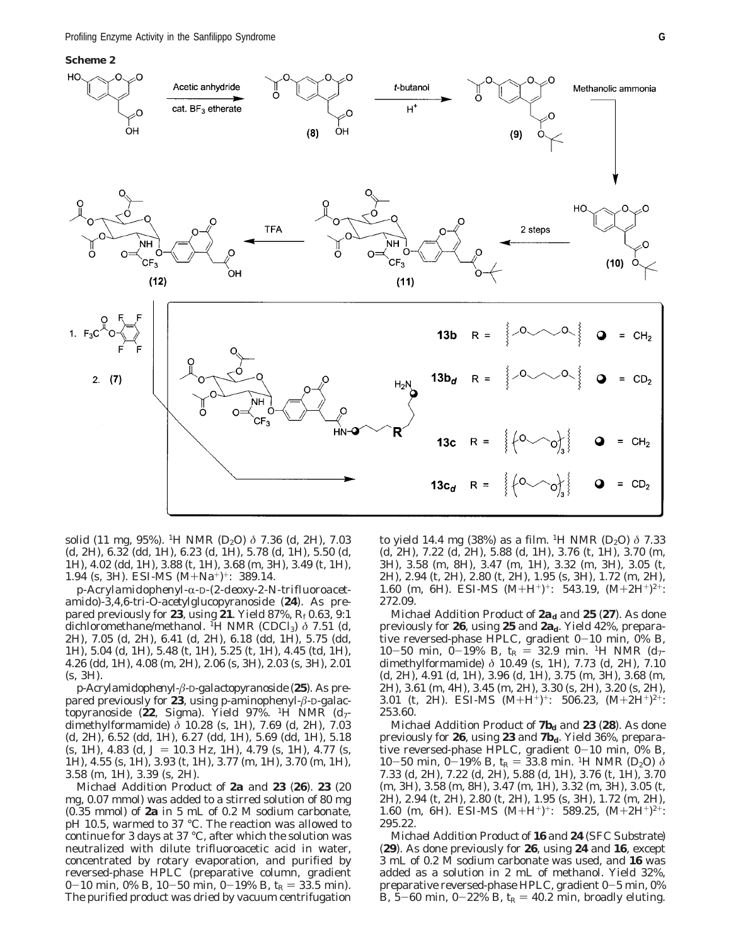

solid (11 mg, 95%). 1H NMR (D2O) *δ* 7.36 (d, 2H), 7.03 (d, 2H), 6.32 (dd, 1H), 6.23 (d, 1H), 5.78 (d, 1H), 5.50 (d, 1H), 4.02 (dd, 1H), 3.88 (t, 1H), 3.68 (m, 3H), 3.49 (t, 1H), 1.94 (s, 3H). ESI-MS (M+Na+)+: 389.14.

*p-Acrylamidophenyl-*R*-*D*-(2-deoxy-2-N-trifluoroacetamido)-3,4,6-tri-O-acetylglucopyranoside (24).* As prepared previously for **23**, using **21**. Yield 87%, *Rf* 0.63, 9:1 dichloromethane/methanol. <sup>I</sup>H NMR (CDCl<sub>3</sub>) δ 7.51 (d, 2H), 7.05 (d, 2H), 6.41 (d, 2H), 6.18 (dd, 1H), 5.75 (dd, 1H), 5.04 (d, 1H), 5.48 (t, 1H), 5.25 (t, 1H), 4.45 (td, 1H), 4.26 (dd, 1H), 4.08 (m, 2H), 2.06 (s, 3H), 2.03 (s, 3H), 2.01 (s, 3H).

*p-Acrylamidophenyl-â-*D*-galactopyranoside (25).* As prepared previously for **23**, using *p*-aminophenyl-*â*-D-galactopyranoside (**22**, Sigma). Yield 97%. 1H NMR (*d*7 dimethylformamide) *δ* 10.28 (s, 1H), 7.69 (d, 2H), 7.03 (d, 2H), 6.52 (dd, 1H), 6.27 (dd, 1H), 5.69 (dd, 1H), 5.18  $(s, 1H)$ , 4.83 (d,  $J = 10.3$  Hz, 1H), 4.79 (s, 1H), 4.77 (s, 1H), 4.55 (s, 1H), 3.93 (t, 1H), 3.77 (m, 1H), 3.70 (m, 1H), 3.58 (m, 1H), 3.39 (s, 2H).

*Michael Addition Product of 2a and 23 (26).* **23** (20 mg, 0.07 mmol) was added to a stirred solution of 80 mg (0.35 mmol) of **2a** in 5 mL of 0.2 M sodium carbonate, pH 10.5, warmed to 37 °C. The reaction was allowed to continue for 3 days at 37 °C, after which the solution was neutralized with dilute trifluoroacetic acid in water, concentrated by rotary evaporation, and purified by reversed-phase HPLC (preparative column, gradient 0-10 min, 0% B, 10-50 min, 0-19% B,  $t_R = 33.5$  min). The purified product was dried by vacuum centrifugation to yield 14.4 mg (38%) as a film. <sup>1</sup>H NMR (D<sub>2</sub>O)  $\delta$  7.33 (d, 2H), 7.22 (d, 2H), 5.88 (d, 1H), 3.76 (t, 1H), 3.70 (m, 3H), 3.58 (m, 8H), 3.47 (m, 1H), 3.32 (m, 3H), 3.05 (t, 2H), 2.94 (t, 2H), 2.80 (t, 2H), 1.95 (s, 3H), 1.72 (m, 2H), 1.60 (m, 6H). ESI-MS (M+H<sup>+</sup>)<sup>+</sup>: 543.19, (M+2H<sup>+</sup>)<sup>2+</sup>: 272.09.

*Michael Addition Product of*  $2a_d$  *and*  $25$  *(27). As done* previously for **26**, using **25** and **2a***d*. Yield 42%, preparative reversed-phase HPLC, gradient  $0-10$  min,  $0\%$  B, 10-50 min, 0-19% B,  $t_R = 32.9$  min. <sup>1</sup>H NMR ( $d_7$ dimethylformamide) *δ* 10.49 (s, 1H), 7.73 (d, 2H), 7.10 (d, 2H), 4.91 (d, 1H), 3.96 (d, 1H), 3.75 (m, 3H), 3.68 (m, 2H), 3.61 (m, 4H), 3.45 (m, 2H), 3.30 (s, 2H), 3.20 (s, 2H), 3.01 (t, 2H). ESI-MS  $(M+H^+)^+$ : 506.23,  $(M+2H^+)^{2+}$ : 253.60.

*Michael Addition Product of 7b<sub>d</sub>* and **23** (28). As done previously for **26**, using **23** and **7b***d*. Yield 36%, preparative reversed-phase HPLC, gradient  $0-10$  min,  $0\%$  B,  $10-50$  min,  $0-19\%$  B,  $t_R = 33.8$  min. <sup>1</sup>H NMR (D<sub>2</sub>O)  $\delta$ 7.33 (d, 2H), 7.22 (d, 2H), 5.88 (d, 1H), 3.76 (t, 1H), 3.70 (m, 3H), 3.58 (m, 8H), 3.47 (m, 1H), 3.32 (m, 3H), 3.05 (t, 2H), 2.94 (t, 2H), 2.80 (t, 2H), 1.95 (s, 3H), 1.72 (m, 2H), 1.60 (m, 6H). ESI-MS  $(M+H^+)^+$ : 589.25,  $(M+2H^+)^{2+}$ : 295.22.

*Michael Addition Product of 16 and 24 (SFC Substrate) (29).* As done previously for **26**, using **24** and **16**, except 3 mL of 0.2 M sodium carbonate was used, and **16** was added as a solution in 2 mL of methanol. Yield 32%, preparative reversed-phase HPLC, gradient 0-5 min, 0% B,  $5-60$  min,  $0-22\%$  B,  $t_R = 40.2$  min, broadly eluting.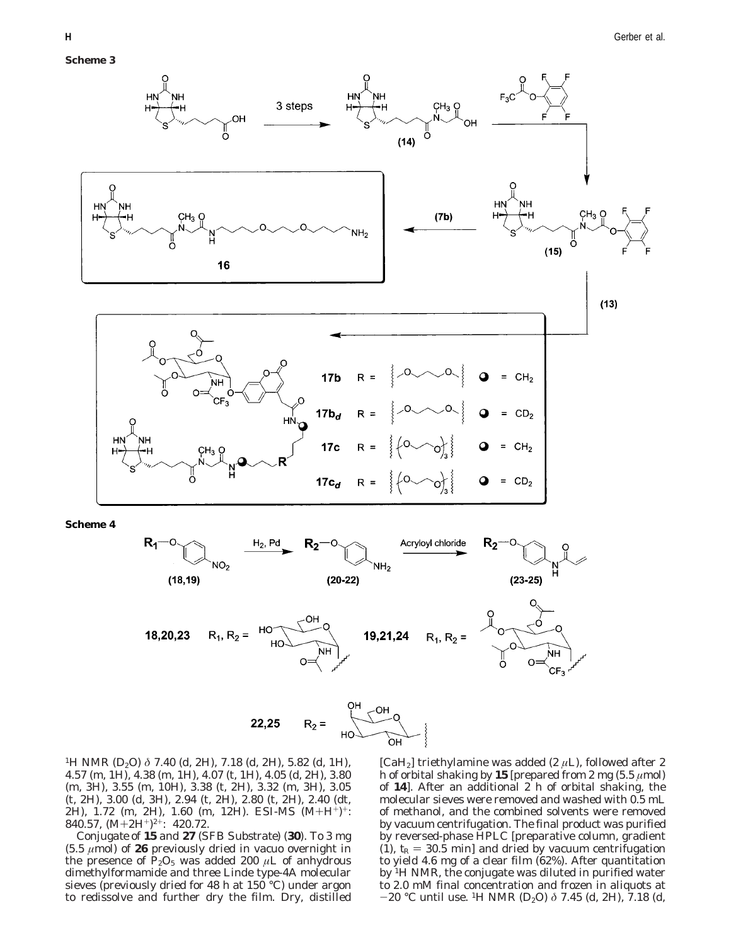

**Scheme 4**



$$
R_2 = \begin{matrix} 1 & 0H & 0 \\ 0 & 0H & 0 \\ 0 & 0H & 0 \end{matrix}
$$

<sup>1</sup>H NMR (D<sub>2</sub>O) δ 7.40 (d, 2H), 7.18 (d, 2H), 5.82 (d, 1H), 4.57 (m, 1H), 4.38 (m, 1H), 4.07 (t, 1H), 4.05 (d, 2H), 3.80 (m, 3H), 3.55 (m, 10H), 3.38 (t, 2H), 3.32 (m, 3H), 3.05 (t, 2H), 3.00 (d, 3H), 2.94 (t, 2H), 2.80 (t, 2H), 2.40 (dt, 2H), 1.72 (m, 2H), 1.60 (m, 12H). ESI-MS (M+H+)+: 840.57,  $(M+2H^+)^{2+}$ : 420.72.

*Conjugate of 15 and 27 (SFB Substrate) (30).* To 3 mg (5.5 *µ*mol) of **26** previously dried in vacuo overnight in the presence of  $\dot{P}_2O_5$  was added 200  $\mu$ L of anhydrous dimethylformamide and three Linde type-4A molecular sieves (previously dried for 48 h at 150 °C) under argon to redissolve and further dry the film. Dry, distilled

[CaH2] triethylamine was added (2 *µ*L), followed after 2 h of orbital shaking by **15** [prepared from 2 mg  $(5.5 \mu mol)$ ] of **14**]. After an additional 2 h of orbital shaking, the molecular sieves were removed and washed with 0.5 mL of methanol, and the combined solvents were removed by vacuum centrifugation. The final product was purified by reversed-phase HPLC [preparative column, gradient (1),  $t_R = 30.5$  min] and dried by vacuum centrifugation to yield 4.6 mg of a clear film (62%). After quantitation by 1H NMR, the conjugate was diluted in purified water to 2.0 mM final concentration and frozen in aliquots at -20 °C until use. 1H NMR (D2O) *<sup>δ</sup>* 7.45 (d, 2H), 7.18 (d,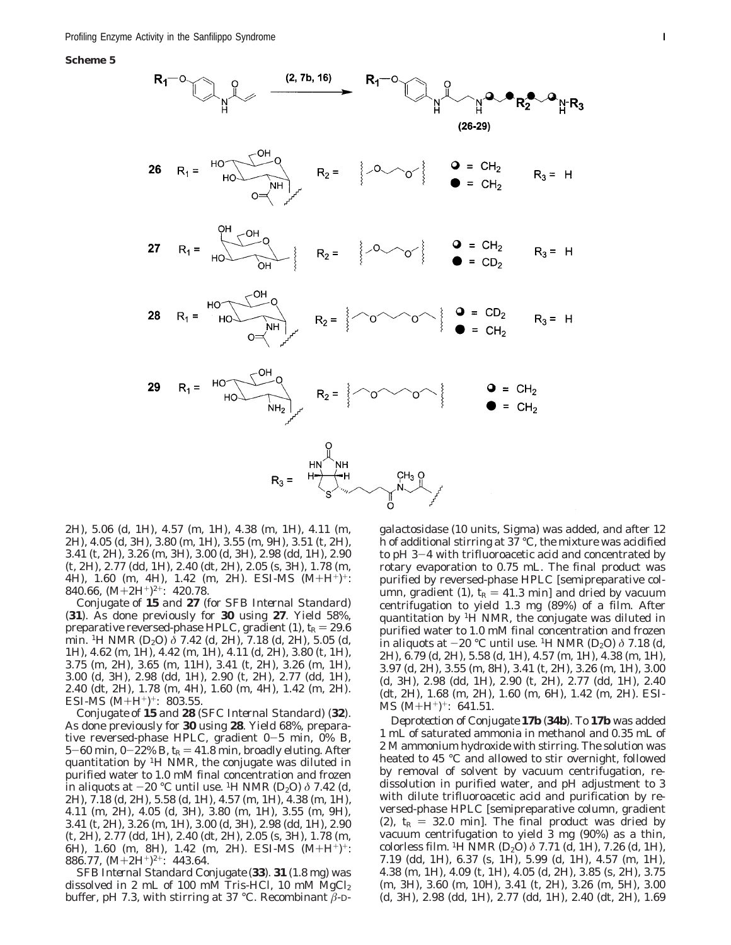**Scheme 5**



2H), 5.06 (d, 1H), 4.57 (m, 1H), 4.38 (m, 1H), 4.11 (m, 2H), 4.05 (d, 3H), 3.80 (m, 1H), 3.55 (m, 9H), 3.51 (t, 2H), 3.41 (t, 2H), 3.26 (m, 3H), 3.00 (d, 3H), 2.98 (dd, 1H), 2.90 (t, 2H), 2.77 (dd, 1H), 2.40 (dt, 2H), 2.05 (s, 3H), 1.78 (m, 4H), 1.60 (m, 4H), 1.42 (m, 2H). ESI-MS  $(M+H^+)^+$ : 840.66,  $(M+2H^+)^{2+}$ : 420.78.

*Conjugate of 15 and 27 (for SFB Internal Standard) (31).* As done previously for **30** using **27**. Yield 58%, preparative reversed-phase HPLC, gradient (1),  $t_R = 29.6$ min. 1H NMR (D2O) *δ* 7.42 (d, 2H), 7.18 (d, 2H), 5.05 (d, 1H), 4.62 (m, 1H), 4.42 (m, 1H), 4.11 (d, 2H), 3.80 (t, 1H), 3.75 (m, 2H), 3.65 (m, 11H), 3.41 (t, 2H), 3.26 (m, 1H), 3.00 (d, 3H), 2.98 (dd, 1H), 2.90 (t, 2H), 2.77 (dd, 1H), 2.40 (dt, 2H), 1.78 (m, 4H), 1.60 (m, 4H), 1.42 (m, 2H). ESI-MS  $(M+H^+)^+$ : 803.55.

*Conjugate of 15 and 28 (SFC Internal Standard) (32).* As done previously for **30** using **28**. Yield 68%, preparative reversed-phase HPLC, gradient 0-5 min, 0% B, 5-60 min,  $0-22\%$  B,  $t_R = 41.8$  min, broadly eluting. After quantitation by <sup>1</sup>H NMR, the conjugate was diluted in purified water to 1.0 mM final concentration and frozen in aliquots at  $-20$  °C until use. <sup>1</sup>H NMR (D<sub>2</sub>O)  $\delta$  7.42 (d, 2H), 7.18 (d, 2H), 5.58 (d, 1H), 4.57 (m, 1H), 4.38 (m, 1H), 4.11 (m, 2H), 4.05 (d, 3H), 3.80 (m, 1H), 3.55 (m, 9H), 3.41 (t, 2H), 3.26 (m, 1H), 3.00 (d, 3H), 2.98 (dd, 1H), 2.90 (t, 2H), 2.77 (dd, 1H), 2.40 (dt, 2H), 2.05 (s, 3H), 1.78 (m, 6H), 1.60 (m, 8H), 1.42 (m, 2H). ESI-MS  $(M+H^+)^+$ : 886.77,  $(M+2H^+)^{2+}$ : 443.64.

*SFB Internal Standard Conjugate (33).* **31** (1.8 mg) was dissolved in 2 mL of 100 mM Tris-HCl, 10 mM  $MgCl<sub>2</sub>$ buffer, pH 7.3, with stirring at 37 °C. Recombinant *â*-D-

galactosidase (10 units, Sigma) was added, and after 12 h of additional stirring at 37 °C, the mixture was acidified to pH 3-4 with trifluoroacetic acid and concentrated by rotary evaporation to 0.75 mL. The final product was purified by reversed-phase HPLC [semipreparative column, gradient (1),  $t_R = 41.3$  min] and dried by vacuum centrifugation to yield 1.3 mg (89%) of a film. After quantitation by  ${}^{1}$ H NMR, the conjugate was diluted in purified water to 1.0 mM final concentration and frozen in aliquots at -20 °C until use. 1H NMR (D2O) *<sup>δ</sup>* 7.18 (d, 2H), 6.79 (d, 2H), 5.58 (d, 1H), 4.57 (m, 1H), 4.38 (m, 1H), 3.97 (d, 2H), 3.55 (m, 8H), 3.41 (t, 2H), 3.26 (m, 1H), 3.00 (d, 3H), 2.98 (dd, 1H), 2.90 (t, 2H), 2.77 (dd, 1H), 2.40 (dt, 2H), 1.68 (m, 2H), 1.60 (m, 6H), 1.42 (m, 2H). ESI- $MS (M+H^+)^+$ : 641.51.

*Deprotection of Conjugate 17b (34b).* To **17b** was added 1 mL of saturated ammonia in methanol and 0.35 mL of 2 M ammonium hydroxide with stirring. The solution was heated to 45 °C and allowed to stir overnight, followed by removal of solvent by vacuum centrifugation, redissolution in purified water, and pH adjustment to 3 with dilute trifluoroacetic acid and purification by reversed-phase HPLC [semipreparative column, gradient (2),  $t_R = 32.0$  min]. The final product was dried by vacuum centrifugation to yield 3 mg (90%) as a thin, colorless film. 1H NMR (D2O) *δ* 7.71 (d, 1H), 7.26 (d, 1H), 7.19 (dd, 1H), 6.37 (s, 1H), 5.99 (d, 1H), 4.57 (m, 1H), 4.38 (m, 1H), 4.09 (t, 1H), 4.05 (d, 2H), 3.85 (s, 2H), 3.75 (m, 3H), 3.60 (m, 10H), 3.41 (t, 2H), 3.26 (m, 5H), 3.00 (d, 3H), 2.98 (dd, 1H), 2.77 (dd, 1H), 2.40 (dt, 2H), 1.69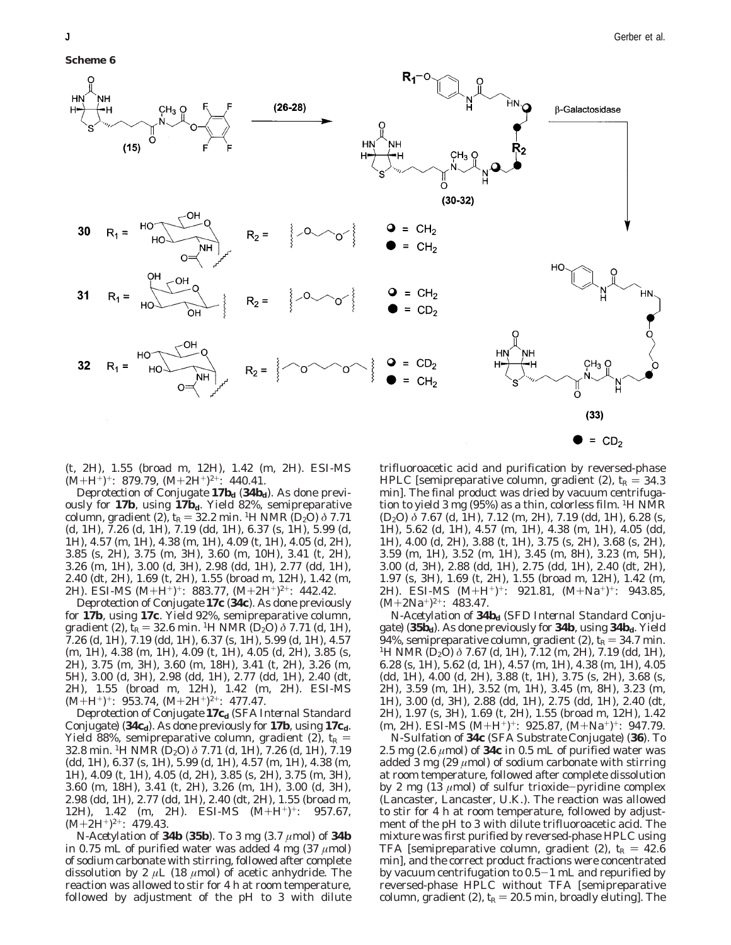**Scheme 6**



(t, 2H), 1.55 (broad m, 12H), 1.42 (m, 2H). ESI-MS  $(M+H^+)^+$ : 879.79,  $(M+2H^+)^{2+}$ : 440.41.

*Deprotection of Conjugate* 17 $b_d$  (34 $b_d$ ). As done previously for **17b**, using **17b***d*. Yield 82%, semipreparative column, gradient (2),  $t_R = 32.2$  min. <sup>1</sup>H NMR (D<sub>2</sub>O)  $\delta$  7.71 (d, 1H), 7.26 (d, 1H), 7.19 (dd, 1H), 6.37 (s, 1H), 5.99 (d, 1H), 4.57 (m, 1H), 4.38 (m, 1H), 4.09 (t, 1H), 4.05 (d, 2H), 3.85 (s, 2H), 3.75 (m, 3H), 3.60 (m, 10H), 3.41 (t, 2H), 3.26 (m, 1H), 3.00 (d, 3H), 2.98 (dd, 1H), 2.77 (dd, 1H), 2.40 (dt, 2H), 1.69 (t, 2H), 1.55 (broad m, 12H), 1.42 (m, 2H). ESI-MS  $(M+H^+)^+$ : 883.77,  $(M+2H^+)^2$ <sup>+</sup>: 442.42.

*Deprotection of Conjugate 17c (34c).* As done previously for **17b**, using **17c**. Yield 92%, semipreparative column, gradient (2),  $t_R = 32.6$  min. <sup>1</sup>H NMR (D<sub>2</sub>O)  $\delta$  7.71 (d, 1H), 7.26 (d, 1H), 7.19 (dd, 1H), 6.37 (s, 1H), 5.99 (d, 1H), 4.57 (m, 1H), 4.38 (m, 1H), 4.09 (t, 1H), 4.05 (d, 2H), 3.85 (s, 2H), 3.75 (m, 3H), 3.60 (m, 18H), 3.41 (t, 2H), 3.26 (m, 5H), 3.00 (d, 3H), 2.98 (dd, 1H), 2.77 (dd, 1H), 2.40 (dt, 2H), 1.55 (broad m, 12H), 1.42 (m, 2H). ESI-MS  $(M+H^+)^+$ : 953.74,  $(M+2H^+)^{2+}$ : 477.47.

*Deprotection of Conjugate 17cd (SFA Internal Standard Conjugate) (34cd).* As done previously for **17b**, using **17c***d*. Yield 88%, semipreparative column, gradient (2),  $t_R$  = 32.8 min. 1H NMR (D2O) *δ* 7.71 (d, 1H), 7.26 (d, 1H), 7.19 (dd, 1H), 6.37 (s, 1H), 5.99 (d, 1H), 4.57 (m, 1H), 4.38 (m, 1H), 4.09 (t, 1H), 4.05 (d, 2H), 3.85 (s, 2H), 3.75 (m, 3H), 3.60 (m, 18H), 3.41 (t, 2H), 3.26 (m, 1H), 3.00 (d, 3H), 2.98 (dd, 1H), 2.77 (dd, 1H), 2.40 (dt, 2H), 1.55 (broad m, 12H), 1.42 (m, 2H). ESI-MS (M+H<sup>+</sup>)<sup>+</sup>: 957.67,  $(M+2H^+)^{2+}$ : 479.43.

*N-Acetylation of 34b (35b).* To 3 mg (3.7 *µ*mol) of **34b** in 0.75 mL of purified water was added 4 mg (37 *µ*mol) of sodium carbonate with stirring, followed after complete dissolution by 2 *µ*L (18 *µ*mol) of acetic anhydride. The reaction was allowed to stir for 4 h at room temperature, followed by adjustment of the pH to 3 with dilute trifluoroacetic acid and purification by reversed-phase HPLC [semipreparative column, gradient  $(2)$ ,  $t_R = 34.3$ min]. The final product was dried by vacuum centrifugation to yield 3 mg (95%) as a thin, colorless film. 1H NMR (D2O) *δ* 7.67 (d, 1H), 7.12 (m, 2H), 7.19 (dd, 1H), 6.28 (s, 1H), 5.62 (d, 1H), 4.57 (m, 1H), 4.38 (m, 1H), 4.05 (dd, 1H), 4.00 (d, 2H), 3.88 (t, 1H), 3.75 (s, 2H), 3.68 (s, 2H), 3.59 (m, 1H), 3.52 (m, 1H), 3.45 (m, 8H), 3.23 (m, 5H), 3.00 (d, 3H), 2.88 (dd, 1H), 2.75 (dd, 1H), 2.40 (dt, 2H), 1.97 (s, 3H), 1.69 (t, 2H), 1.55 (broad m, 12H), 1.42 (m, 2H). ESI-MS (M+H+)+: 921.81, (M+Na+)+: 943.85,  $(M+2Na^{+})^{2+}$ : 483.47.

 $\bullet$  = CD<sub>2</sub>

*N-Acetylation of 34b<sub>d</sub> (SFD Internal Standard Conjugate) (35bd).* As done previously for **34b**, using **34b***d*. Yield 94%, semipreparative column, gradient (2), *t*<sub>R</sub> = 34.7 min. <sup>1</sup>H NMR (D<sub>2</sub>O) *δ* 7.67 (d, 1H), 7.12 (m, 2H), 7.19 (dd, 1H), 6.28 (s, 1H), 5.62 (d, 1H), 4.57 (m, 1H), 4.38 (m, 1H), 4.05 (dd, 1H), 4.00 (d, 2H), 3.88 (t, 1H), 3.75 (s, 2H), 3.68 (s, 2H), 3.59 (m, 1H), 3.52 (m, 1H), 3.45 (m, 8H), 3.23 (m, 1H), 3.00 (d, 3H), 2.88 (dd, 1H), 2.75 (dd, 1H), 2.40 (dt, 2H), 1.97 (s, 3H), 1.69 (t, 2H), 1.55 (broad m, 12H), 1.42  $(m, 2H)$ . ESI-MS  $(M+H^+)^+$ : 925.87,  $(M+Na^+)^+$ : 947.79.

*N-Sulfation of 34c (SFA Substrate Conjugate) (36).* To 2.5 mg  $(2.6 \mu mol)$  of **34c** in 0.5 mL of purified water was added 3 mg (29  $\mu$ mol) of sodium carbonate with stirring at room temperature, followed after complete dissolution by 2 mg (13 *<sup>µ</sup>*mol) of sulfur trioxide-pyridine complex (Lancaster, Lancaster, U.K.). The reaction was allowed to stir for 4 h at room temperature, followed by adjustment of the pH to 3 with dilute trifluoroacetic acid. The mixture was first purified by reversed-phase HPLC using TFA [semipreparative column, gradient  $(2)$ ,  $t_R = 42.6$ min], and the correct product fractions were concentrated by vacuum centrifugation to  $0.5-1$  mL and repurified by reversed-phase HPLC without TFA [semipreparative column, gradient (2),  $t_R = 20.5$  min, broadly eluting]. The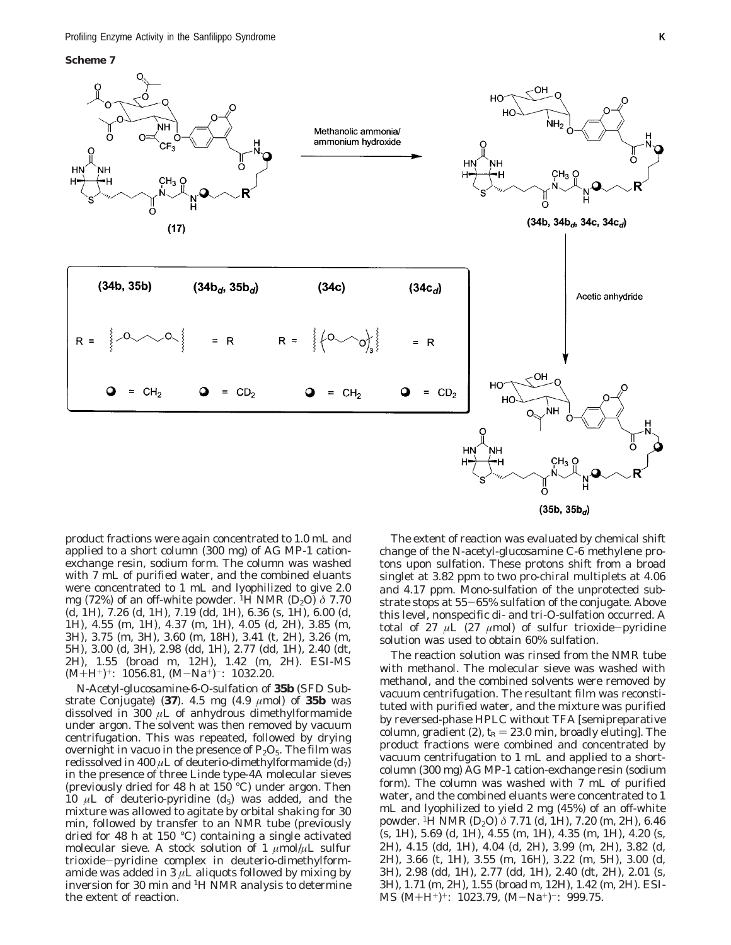**Scheme 7**



 $(35b, 35b_{d})$ 

product fractions were again concentrated to 1.0 mL and applied to a short column (300 mg) of AG MP-1 cationexchange resin, sodium form. The column was washed with 7 mL of purified water, and the combined eluants were concentrated to 1 mL and lyophilized to give 2.0 mg (72%) of an off-white powder. 1H NMR (D2O) *δ* 7.70 (d, 1H), 7.26 (d, 1H), 7.19 (dd, 1H), 6.36 (s, 1H), 6.00 (d, 1H), 4.55 (m, 1H), 4.37 (m, 1H), 4.05 (d, 2H), 3.85 (m, 3H), 3.75 (m, 3H), 3.60 (m, 18H), 3.41 (t, 2H), 3.26 (m, 5H), 3.00 (d, 3H), 2.98 (dd, 1H), 2.77 (dd, 1H), 2.40 (dt, 2H), 1.55 (broad m, 12H), 1.42 (m, 2H). ESI-MS  $(M+H^+)^+$ : 1056.81,  $(M-Na^+)^-$ : 1032.20.

*N-Acetyl-glucosamine-6-O-sulfation of 35b (SFD Substrate Conjugate) (37).* 4.5 mg (4.9 *µ*mol) of **35b** was dissolved in 300 *µ*L of anhydrous dimethylformamide under argon. The solvent was then removed by vacuum centrifugation. This was repeated, followed by drying overnight in vacuo in the presence of  $P_2O_5$ . The film was redissolved in 400  $\mu$ L of deuterio-dimethylformamide  $(d_7)$ in the presence of three Linde type-4A molecular sieves (previously dried for 48 h at 150 °C) under argon. Then 10  $\mu$ L of deuterio-pyridine  $(d_5)$  was added, and the mixture was allowed to agitate by orbital shaking for 30 min, followed by transfer to an NMR tube (previously dried for 48 h at 150 °C) containing a single activated molecular sieve. A stock solution of 1  $\mu$ mol/ $\mu$ L sulfur trioxide-pyridine complex in deuterio-dimethylformamide was added in  $3 \mu$ L aliquots followed by mixing by inversion for 30 min and 1H NMR analysis to determine the extent of reaction.

The extent of reaction was evaluated by chemical shift change of the *N*-acetyl-glucosamine C-6 methylene protons upon sulfation. These protons shift from a broad singlet at 3.82 ppm to two *pro*-chiral multiplets at 4.06 and 4.17 ppm. Mono-sulfation of the unprotected substrate stops at 55-65% sulfation of the conjugate. Above this level, nonspecific di- and tri-*O*-sulfation occurred. A total of 27 *<sup>µ</sup>*L (27 *<sup>µ</sup>*mol) of sulfur trioxide-pyridine solution was used to obtain 60% sulfation.

The reaction solution was rinsed from the NMR tube with methanol. The molecular sieve was washed with methanol, and the combined solvents were removed by vacuum centrifugation. The resultant film was reconstituted with purified water, and the mixture was purified by reversed-phase HPLC without TFA [semipreparative column, gradient (2),  $t_R = 23.0$  min, broadly eluting]. The product fractions were combined and concentrated by vacuum centrifugation to 1 mL and applied to a shortcolumn (300 mg) AG MP-1 cation-exchange resin (sodium form). The column was washed with 7 mL of purified water, and the combined eluants were concentrated to 1 mL and lyophilized to yield 2 mg (45%) of an off-white powder. 1H NMR (D2O) *δ* 7.71 (d, 1H), 7.20 (m, 2H), 6.46 (s, 1H), 5.69 (d, 1H), 4.55 (m, 1H), 4.35 (m, 1H), 4.20 (s, 2H), 4.15 (dd, 1H), 4.04 (d, 2H), 3.99 (m, 2H), 3.82 (d, 2H), 3.66 (t, 1H), 3.55 (m, 16H), 3.22 (m, 5H), 3.00 (d, 3H), 2.98 (dd, 1H), 2.77 (dd, 1H), 2.40 (dt, 2H), 2.01 (s, 3H), 1.71 (m, 2H), 1.55 (broad m, 12H), 1.42 (m, 2H). ESI-MS  $(M+H^+)^+$ : 1023.79,  $(M-Na^+)^-$ : 999.75.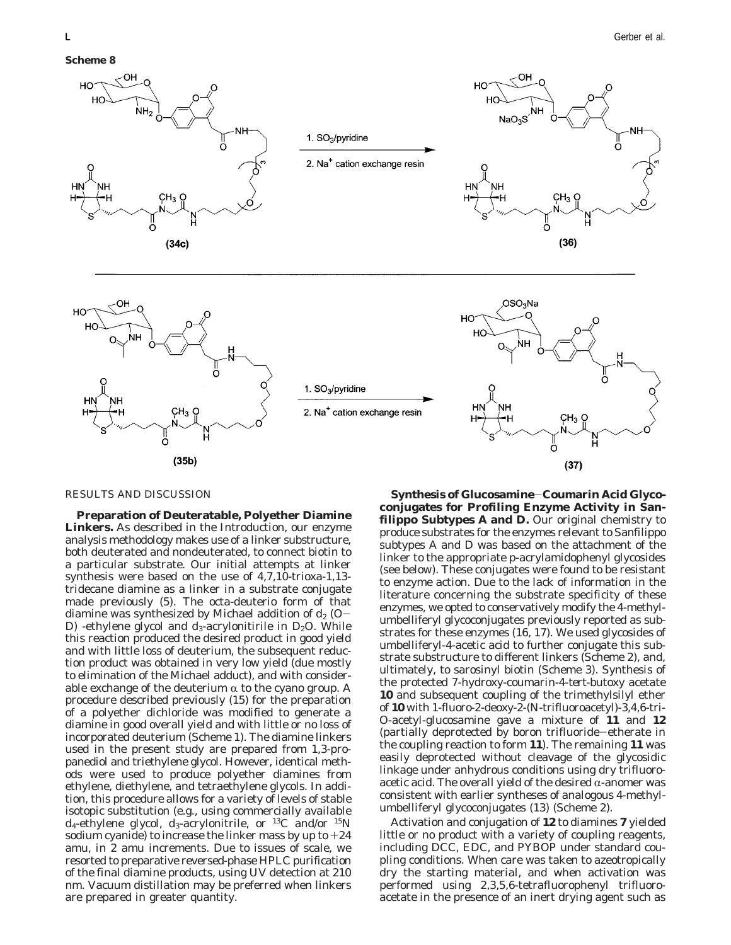

## RESULTS AND DISCUSSION

**Preparation of Deuteratable, Polyether Diamine Linkers.** As described in the Introduction, our enzyme analysis methodology makes use of a linker substructure, both deuterated and nondeuterated, to connect biotin to a particular substrate. Our initial attempts at linker synthesis were based on the use of 4,7,10-trioxa-1,13 tridecane diamine as a linker in a substrate conjugate made previously (*5*). The octa-deuterio form of that diamine was synthesized by Michael addition of  $d_2$  (O-D) -ethylene glycol and  $d_3$ -acrylonitirile in  $D_2O$ . While this reaction produced the desired product in good yield and with little loss of deuterium, the subsequent reduction product was obtained in very low yield (due mostly to elimination of the Michael adduct), and with considerable exchange of the deuterium  $\alpha$  to the cyano group. A procedure described previously (*15*) for the preparation of a polyether dichloride was modified to generate a diamine in good overall yield and with little or no loss of incorporated deuterium (Scheme 1). The diamine linkers used in the present study are prepared from 1,3-propanediol and triethylene glycol. However, identical methods were used to produce polyether diamines from ethylene, diethylene, and tetraethylene glycols. In addition, this procedure allows for a variety of levels of stable isotopic substitution (e.g., using commercially available *d*4-ethylene glycol, *d*3-acrylonitrile, or 13C and/or 15N sodium cyanide) to increase the linker mass by up to  $+24$ amu, in 2 amu increments. Due to issues of scale, we resorted to preparative reversed-phase HPLC purification of the final diamine products, using UV detection at 210 nm. Vacuum distillation may be preferred when linkers are prepared in greater quantity.

**Synthesis of Glucosamine**-**Coumarin Acid Glycoconjugates for Profiling Enzyme Activity in Sanfilippo Subtypes A and D.** Our original chemistry to produce substrates for the enzymes relevant to Sanfilippo subtypes A and D was based on the attachment of the linker to the appropriate *p*-acrylamidophenyl glycosides (see below). These conjugates were found to be resistant to enzyme action. Due to the lack of information in the literature concerning the substrate specificity of these enzymes, we opted to conservatively modify the 4-methylumbelliferyl glycoconjugates previously reported as substrates for these enzymes (*16, 17*). We used glycosides of umbelliferyl-4-acetic acid to further conjugate this substrate substructure to different linkers (Scheme 2), and, ultimately, to sarosinyl biotin (Scheme 3). Synthesis of the protected 7-hydroxy-coumarin-4-*tert*-butoxy acetate **10** and subsequent coupling of the trimethylsilyl ether of **10** with 1-fluoro-2-deoxy-2-(*N*-trifluoroacetyl)-3,4,6-tri-*O*-acetyl-glucosamine gave a mixture of **11** and **12** (partially deprotected by boron trifluoride-etherate in the coupling reaction to form **11**). The remaining **11** was easily deprotected without cleavage of the glycosidic linkage under anhydrous conditions using dry trifluoroacetic acid. The overall yield of the desired  $\alpha$ -anomer was consistent with earlier syntheses of analogous 4-methylumbelliferyl glycoconjugates (*13*) (Scheme 2).

Activation and conjugation of **12** to diamines **7** yielded little or no product with a variety of coupling reagents, including DCC, EDC, and PYBOP under standard coupling conditions. When care was taken to azeotropically dry the starting material, and when activation was performed using 2,3,5,6-tetrafluorophenyl trifluoroacetate in the presence of an inert drying agent such as